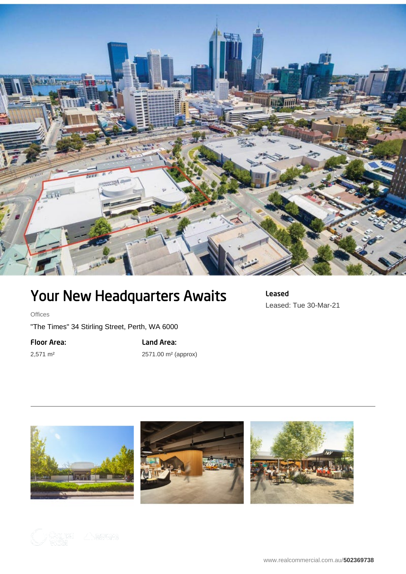

## Your New Headquarters Awaits

**Offices** 

"The Times" 34 Stirling Street, Perth, WA 6000

Floor Area:

2,571 m²

Land Area: 2571.00 m² (approx) Leased Leased: Tue 30-Mar-21